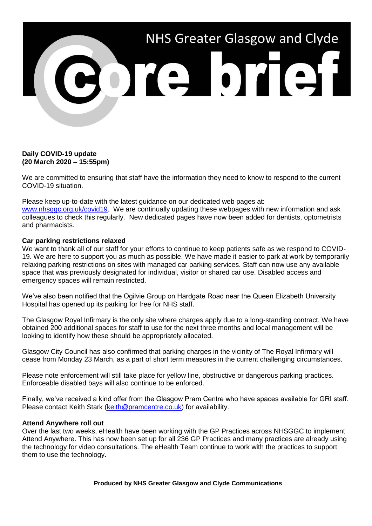

## **Daily COVID-19 update (20 March 2020 – 15:55pm)**

We are committed to ensuring that staff have the information they need to know to respond to the current COVID-19 situation.

Please keep up-to-date with the latest guidance on our dedicated web pages at: [www.nhsggc.org.uk/covid19.](http://www.nhsggc.org.uk/covid19) We are continually updating these webpages with new information and ask colleagues to check this regularly. New dedicated pages have now been added for dentists, optometrists and pharmacists.

## **Car parking restrictions relaxed**

We want to thank all of our staff for your efforts to continue to keep patients safe as we respond to COVID-19. We are here to support you as much as possible. We have made it easier to park at work by temporarily relaxing parking restrictions on sites with managed car parking services. Staff can now use any available space that was previously designated for individual, visitor or shared car use. Disabled access and emergency spaces will remain restricted.

We've also been notified that the Ogilvie Group on Hardgate Road near the Queen Elizabeth University Hospital has opened up its parking for free for NHS staff.

The Glasgow Royal Infirmary is the only site where charges apply due to a long-standing contract. We have obtained 200 additional spaces for staff to use for the next three months and local management will be looking to identify how these should be appropriately allocated.

Glasgow City Council has also confirmed that parking charges in the vicinity of The Royal Infirmary will cease from Monday 23 March, as a part of short term measures in the current challenging circumstances.

Please note enforcement will still take place for yellow line, obstructive or dangerous parking practices. Enforceable disabled bays will also continue to be enforced.

Finally, we've received a kind offer from the Glasgow Pram Centre who have spaces available for GRI staff. Please contact Keith Stark [\(keith@pramcentre.co.uk\)](mailto:keith@pramcentre.co.uk) for availability.

## **Attend Anywhere roll out**

Over the last two weeks, eHealth have been working with the GP Practices across NHSGGC to implement Attend Anywhere. This has now been set up for all 236 GP Practices and many practices are already using the technology for video consultations. The eHealth Team continue to work with the practices to support them to use the technology.